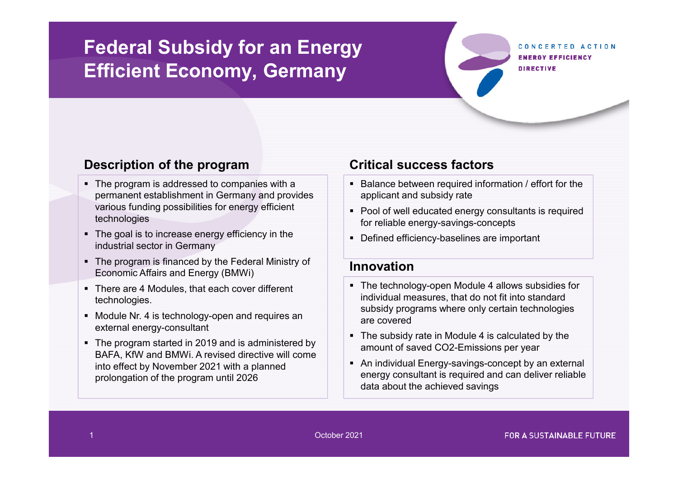# **Federal Subsidy for an Energy Efficient Economy, Germany**

CONCERTED ACTION **ENEDRY EFFICIENCY DIRECTIVE** 

### **Description of the program**

- The program is addressed to companies with a permanent establishment in Germany and provides various funding possibilities for energy efficient technologies
- The goal is to increase energy efficiency in the industrial sector in Germany
- The program is financed by the Federal Ministry of Economic Affairs and Energy (BMWi)
- There are 4 Modules, that each cover different technologies.
- $\;\blacksquare\;$  Module Nr. 4 is technology-open and requires an external energy-consultant
- The program started in 2019 and is administered by BAFA, KfW and BMWi. A revised directive will come into effect by November 2021 with a planned prolongation of the program until 2026

### **Critical success factors**

- $\textcolor{red}{\bullet}$  Balance between required information / effort for the applicant and subsidy rate
- Pool of well educated energy consultants is required for reliable energy-savings-concepts
- Defined efficiency-baselines are important

#### **Innovation**

- The technology-open Module 4 allows subsidies for individual measures, that do not fit into standard subsidy programs where only certain technologies are covered
- The subsidy rate in Module 4 is calculated by the amount of saved CO2-Emissions per year
- An individual Energy-savings-concept by an external energy consultant is required and can deliver reliable data about the achieved savings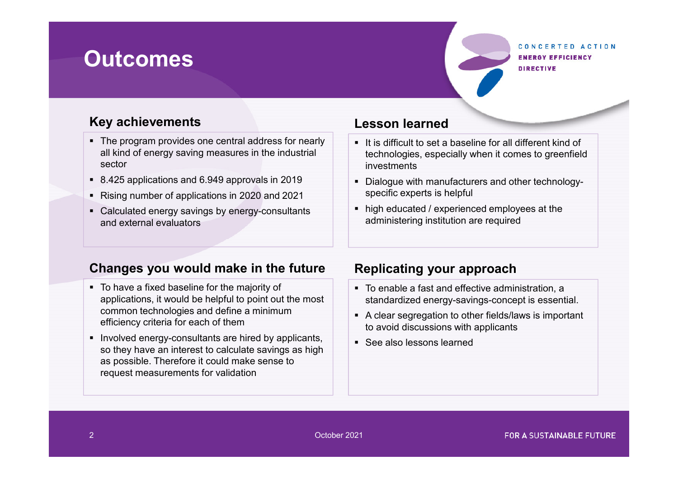# **Outcomes**

#### CONCERTED ACTION **ENERGY EFFICIENCY DIRECTIVE**

# **Key achievements**

- The program provides one central address for nearly all kind of energy saving measures in the industrial sector
- 8.425 applications and 6.949 approvals in 2019
- Rising number of applications in 2020 and 2021
- Calculated energy savings by energy-consultants and external evaluators

# **Lesson learned**

- $\;\blacksquare\;$  It is difficult to set a baseline for all different kind of technologies, especially when it comes to greenfield investments
- Dialogue with manufacturers and other technologyspecific experts is helpful
- high educated / experienced employees at the administering institution are required

# **Changes you would make in the future**

- To have a fixed baseline for the majority of applications, it would be helpful to point out the most common technologies and define a minimum efficiency criteria for each of them
- $\textcolor{red}{\bullet}$  Involved energy-consultants are hired by applicants, so they have an interest to calculate savings as high as possible. Therefore it could make sense to request measurements for validation

# **Replicating your approach**

- To enable a fast and effective administration, a standardized energy-savings-concept is essential.
- A clear segregation to other fields/laws is important to avoid discussions with applicants
- $\textcolor{red}{\bullet}$  See also lessons learned